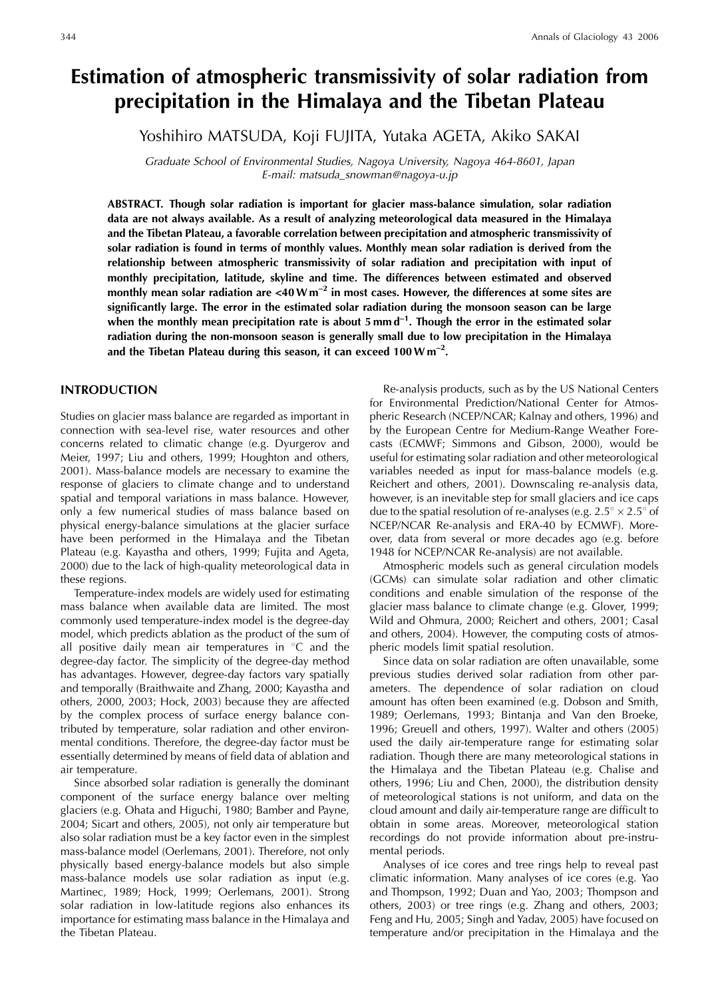# **Estimation of atmospheric transmissivity of solar radiation from precipitation in the Himalaya and the Tibetan Plateau**

Yoshihiro MATSUDA, Koji FUJITA, Yutaka AGETA, Akiko SAKAI

Graduate School of Environmental Studies, Nagoya University, Nagoya 464-8601, Japan E-mail: matsuda\_snowman@nagoya-u.jp

**ABSTRACT. Though solar radiation is important for glacier mass-balance simulation, solar radiation data are not always available. As a result of analyzing meteorological data measured in the Himalaya and the Tibetan Plateau, a favorable correlation between precipitation and atmospheric transmissivity of solar radiation is found in terms of monthly values. Monthly mean solar radiation is derived from the relationship between atmospheric transmissivity of solar radiation and precipitation with input of monthly precipitation, latitude, skyline and time. The differences between estimated and observed monthly mean solar radiation are <40W m–2 in most cases. However, the differences at some sites are significantly large. The error in the estimated solar radiation during the monsoon season can be large when the monthly mean precipitation rate is about 5 mm d–1. Though the error in the estimated solar radiation during the non-monsoon season is generally small due to low precipitation in the Himalaya and the Tibetan Plateau during this season, it can exceed 100W m–2.**

# **INTRODUCTION**

Studies on glacier mass balance are regarded as important in connection with sea-level rise, water resources and other concerns related to climatic change (e.g. Dyurgerov and Meier, 1997; Liu and others, 1999; Houghton and others, 2001). Mass-balance models are necessary to examine the response of glaciers to climate change and to understand spatial and temporal variations in mass balance. However, only a few numerical studies of mass balance based on physical energy-balance simulations at the glacier surface have been performed in the Himalaya and the Tibetan Plateau (e.g. Kayastha and others, 1999; Fujita and Ageta, 2000) due to the lack of high-quality meteorological data in these regions.

Temperature-index models are widely used for estimating mass balance when available data are limited. The most commonly used temperature-index model is the degree-day model, which predicts ablation as the product of the sum of all positive daily mean air temperatures in  $\degree$ C and the degree-day factor. The simplicity of the degree-day method has advantages. However, degree-day factors vary spatially and temporally (Braithwaite and Zhang, 2000; Kayastha and others, 2000, 2003; Hock, 2003) because they are affected by the complex process of surface energy balance contributed by temperature, solar radiation and other environmental conditions. Therefore, the degree-day factor must be essentially determined by means of field data of ablation and air temperature.

Since absorbed solar radiation is generally the dominant component of the surface energy balance over melting glaciers (e.g. Ohata and Higuchi, 1980; Bamber and Payne, 2004; Sicart and others, 2005), not only air temperature but also solar radiation must be a key factor even in the simplest mass-balance model (Oerlemans, 2001). Therefore, not only physically based energy-balance models but also simple mass-balance models use solar radiation as input (e.g. Martinec, 1989; Hock, 1999; Oerlemans, 2001). Strong solar radiation in low-latitude regions also enhances its importance for estimating mass balance in the Himalaya and the Tibetan Plateau.

Re-analysis products, such as by the US National Centers for Environmental Prediction/National Center for Atmospheric Research (NCEP/NCAR; Kalnay and others, 1996) and by the European Centre for Medium-Range Weather Forecasts (ECMWF; Simmons and Gibson, 2000), would be useful for estimating solar radiation and other meteorological variables needed as input for mass-balance models (e.g. Reichert and others, 2001). Downscaling re-analysis data, however, is an inevitable step for small glaciers and ice caps due to the spatial resolution of re-analyses (e.g.  $2.5^{\circ} \times 2.5^{\circ}$  of NCEP/NCAR Re-analysis and ERA-40 by ECMWF). Moreover, data from several or more decades ago (e.g. before 1948 for NCEP/NCAR Re-analysis) are not available.

Atmospheric models such as general circulation models (GCMs) can simulate solar radiation and other climatic conditions and enable simulation of the response of the glacier mass balance to climate change (e.g. Glover, 1999; Wild and Ohmura, 2000; Reichert and others, 2001; Casal and others, 2004). However, the computing costs of atmospheric models limit spatial resolution.

Since data on solar radiation are often unavailable, some previous studies derived solar radiation from other parameters. The dependence of solar radiation on cloud amount has often been examined (e.g. Dobson and Smith, 1989; Oerlemans, 1993; Bintanja and Van den Broeke, 1996; Greuell and others, 1997). Walter and others (2005) used the daily air-temperature range for estimating solar radiation. Though there are many meteorological stations in the Himalaya and the Tibetan Plateau (e.g. Chalise and others, 1996; Liu and Chen, 2000), the distribution density of meteorological stations is not uniform, and data on the cloud amount and daily air-temperature range are difficult to obtain in some areas. Moreover, meteorological station recordings do not provide information about pre-instrumental periods.

Analyses of ice cores and tree rings help to reveal past climatic information. Many analyses of ice cores (e.g. Yao and Thompson, 1992; Duan and Yao, 2003; Thompson and others, 2003) or tree rings (e.g. Zhang and others, 2003; Feng and Hu, 2005; Singh and Yadav, 2005) have focused on temperature and/or precipitation in the Himalaya and the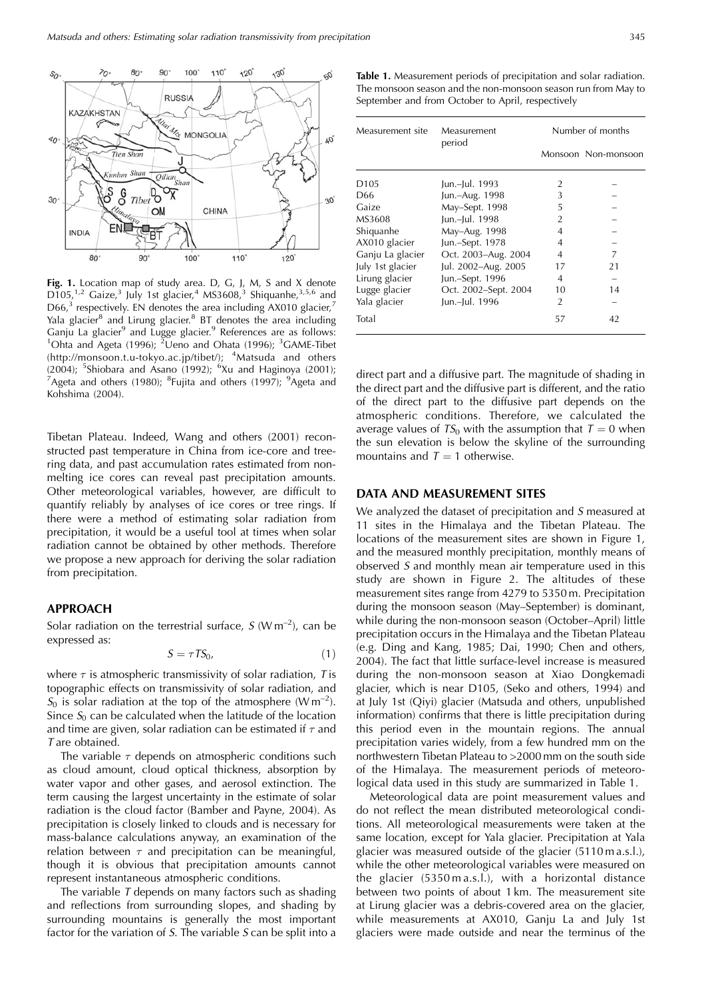

**Fig. 1.** Location map of study area. D, G, J, M, S and X denote  $D105$ ,<sup>1,2</sup> Gaize,<sup>3</sup> July 1st glacier,<sup>4</sup> MS3608,<sup>3</sup> Shiquanhe,<sup>3,5,6</sup> and  $D66<sup>3</sup>$  respectively. EN denotes the area including AX010 glacier,<sup>7</sup> Yala glacier<sup>8</sup> and Lirung glacier.<sup>8</sup> BT denotes the area including Ganju La glacier<sup>9</sup> and Lugge glacier.<sup>9</sup> References are as follows: Ohta and Ageta (1996); <sup>2</sup> Ueno and Ohata (1996); <sup>3</sup> GAME-Tibet (http://monsoon.t.u-tokyo.ac.jp/tibet/); <sup>4</sup>Matsuda and others (2004); <sup>5</sup>Shiobara and Asano (1992); <sup>6</sup>Xu and Haginoya (2001);<br><sup>7</sup>Ageta and others (1980); <sup>8</sup>Euijta and others (1997); <sup>9</sup>Ageta and Ageta and others (1980); <sup>8</sup>Fujita and others (1997); <sup>9</sup>Ageta and Kohshima (2004).

Tibetan Plateau. Indeed, Wang and others (2001) reconstructed past temperature in China from ice-core and treering data, and past accumulation rates estimated from nonmelting ice cores can reveal past precipitation amounts. Other meteorological variables, however, are difficult to quantify reliably by analyses of ice cores or tree rings. If there were a method of estimating solar radiation from precipitation, it would be a useful tool at times when solar radiation cannot be obtained by other methods. Therefore we propose a new approach for deriving the solar radiation from precipitation.

# **APPROACH**

Solar radiation on the terrestrial surface,  $S(W m^{-2})$ , can be expressed as:

$$
S = \tau T S_0,\tag{1}
$$

where  $\tau$  is atmospheric transmissivity of solar radiation, T is topographic effects on transmissivity of solar radiation, and  $S_0$  is solar radiation at the top of the atmosphere (W m<sup>-2</sup>). Since  $S_0$  can be calculated when the latitude of the location and time are given, solar radiation can be estimated if  $\tau$  and T are obtained.

The variable  $\tau$  depends on atmospheric conditions such as cloud amount, cloud optical thickness, absorption by water vapor and other gases, and aerosol extinction. The term causing the largest uncertainty in the estimate of solar radiation is the cloud factor (Bamber and Payne, 2004). As precipitation is closely linked to clouds and is necessary for mass-balance calculations anyway, an examination of the relation between  $\tau$  and precipitation can be meaningful, though it is obvious that precipitation amounts cannot represent instantaneous atmospheric conditions.

The variable  $T$  depends on many factors such as shading and reflections from surrounding slopes, and shading by surrounding mountains is generally the most important factor for the variation of  $S$ . The variable  $S$  can be split into a

**Table 1.** Measurement periods of precipitation and solar radiation. The monsoon season and the non-monsoon season run from May to September and from October to April, respectively

| Measurement site | Measurement<br>period | Number of months |                     |
|------------------|-----------------------|------------------|---------------------|
|                  |                       |                  | Monsoon Non-monsoon |
| D <sub>105</sub> | Jun.-Jul. 1993        | 2                |                     |
| D66              | Jun.-Aug. 1998        | 3                |                     |
| Gaize            | May-Sept. 1998        | 5                |                     |
| MS3608           | Jun.-Jul. 1998        | $\overline{2}$   |                     |
| Shiquanhe        | May-Aug. 1998         | 4                |                     |
| AX010 glacier    | Jun.-Sept. 1978       | 4                |                     |
| Ganju La glacier | Oct. 2003-Aug. 2004   | $\overline{4}$   | 7                   |
| July 1st glacier | Jul. 2002-Aug. 2005   | 17               | 21                  |
| Lirung glacier   | Jun.-Sept. 1996       | $\overline{4}$   |                     |
| Lugge glacier    | Oct. 2002-Sept. 2004  | 10               | 14                  |
| Yala glacier     | Jun.-Jul. 1996        | $\overline{2}$   |                     |
| Total            |                       | 57               | 42                  |

direct part and a diffusive part. The magnitude of shading in the direct part and the diffusive part is different, and the ratio of the direct part to the diffusive part depends on the atmospheric conditions. Therefore, we calculated the average values of  $TS_0$  with the assumption that  $T = 0$  when the sun elevation is below the skyline of the surrounding mountains and  $T = 1$  otherwise.

## **DATA AND MEASUREMENT SITES**

We analyzed the dataset of precipitation and S measured at 11 sites in the Himalaya and the Tibetan Plateau. The locations of the measurement sites are shown in Figure 1, and the measured monthly precipitation, monthly means of observed S and monthly mean air temperature used in this study are shown in Figure 2. The altitudes of these measurement sites range from 4279 to 5350 m. Precipitation during the monsoon season (May–September) is dominant, while during the non-monsoon season (October–April) little precipitation occurs in the Himalaya and the Tibetan Plateau (e.g. Ding and Kang, 1985; Dai, 1990; Chen and others, 2004). The fact that little surface-level increase is measured during the non-monsoon season at Xiao Dongkemadi glacier, which is near D105, (Seko and others, 1994) and at July 1st (Qiyi) glacier (Matsuda and others, unpublished information) confirms that there is little precipitation during this period even in the mountain regions. The annual precipitation varies widely, from a few hundred mm on the northwestern Tibetan Plateau to >2000 mm on the south side of the Himalaya. The measurement periods of meteorological data used in this study are summarized in Table 1.

Meteorological data are point measurement values and do not reflect the mean distributed meteorological conditions. All meteorological measurements were taken at the same location, except for Yala glacier. Precipitation at Yala glacier was measured outside of the glacier (5110 m a.s.l.), while the other meteorological variables were measured on the glacier (5350 m a.s.l.), with a horizontal distance between two points of about 1 km. The measurement site at Lirung glacier was a debris-covered area on the glacier, while measurements at AX010, Ganju La and July 1st glaciers were made outside and near the terminus of the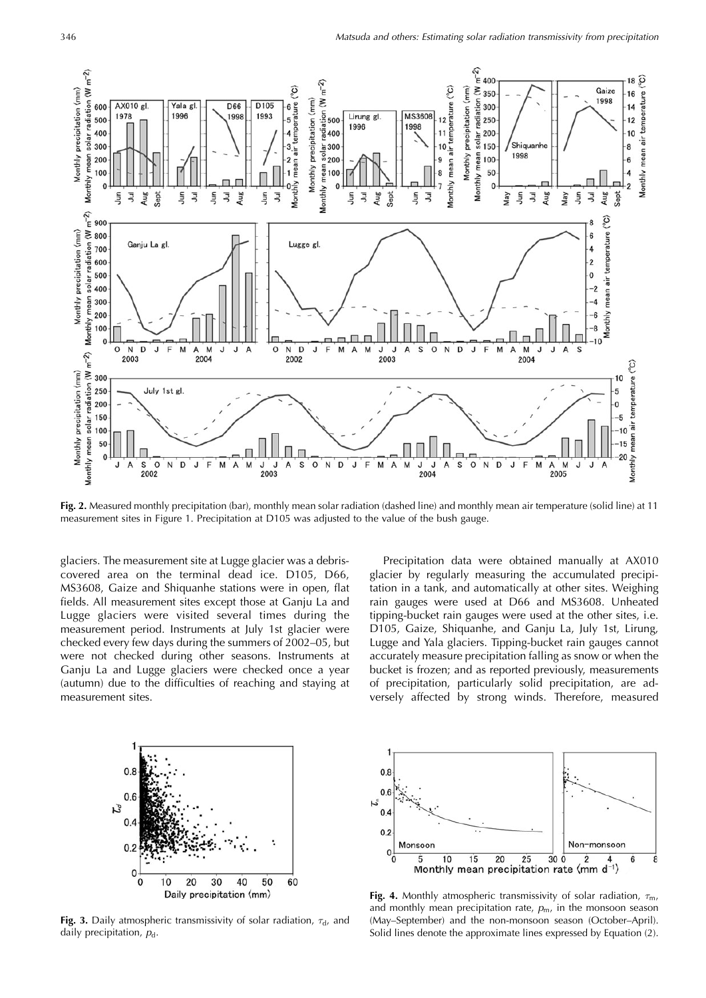

**Fig. 2.** Measured monthly precipitation (bar), monthly mean solar radiation (dashed line) and monthly mean air temperature (solid line) at 11 measurement sites in Figure 1. Precipitation at D105 was adjusted to the value of the bush gauge.

glaciers. The measurement site at Lugge glacier was a debriscovered area on the terminal dead ice. D105, D66, MS3608, Gaize and Shiquanhe stations were in open, flat fields. All measurement sites except those at Ganju La and Lugge glaciers were visited several times during the measurement period. Instruments at July 1st glacier were checked every few days during the summers of 2002–05, but were not checked during other seasons. Instruments at Ganju La and Lugge glaciers were checked once a year (autumn) due to the difficulties of reaching and staying at measurement sites.

Precipitation data were obtained manually at AX010 glacier by regularly measuring the accumulated precipitation in a tank, and automatically at other sites. Weighing rain gauges were used at D66 and MS3608. Unheated tipping-bucket rain gauges were used at the other sites, i.e. D105, Gaize, Shiquanhe, and Ganju La, July 1st, Lirung, Lugge and Yala glaciers. Tipping-bucket rain gauges cannot accurately measure precipitation falling as snow or when the bucket is frozen; and as reported previously, measurements of precipitation, particularly solid precipitation, are adversely affected by strong winds. Therefore, measured



**Fig. 3.** Daily atmospheric transmissivity of solar radiation,  $\tau_{d}$ , and daily precipitation,  $p_d$ .



**Fig. 4.** Monthly atmospheric transmissivity of solar radiation,  $\tau_{\rm m}$ , and monthly mean precipitation rate,  $p_m$ , in the monsoon season (May–September) and the non-monsoon season (October–April). Solid lines denote the approximate lines expressed by Equation (2).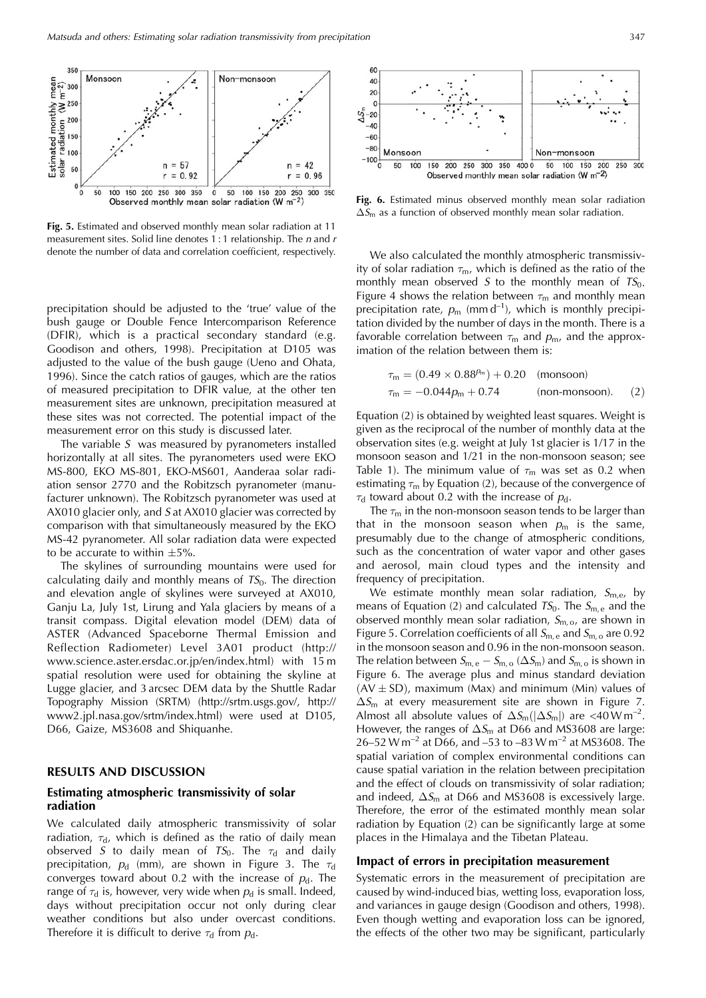

**Fig. 5.** Estimated and observed monthly mean solar radiation at 11 measurement sites. Solid line denotes 1:1 relationship. The *n* and *r* denote the number of data and correlation coefficient, respectively.

precipitation should be adjusted to the 'true' value of the bush gauge or Double Fence Intercomparison Reference (DFIR), which is a practical secondary standard (e.g. Goodison and others, 1998). Precipitation at D105 was adjusted to the value of the bush gauge (Ueno and Ohata, 1996). Since the catch ratios of gauges, which are the ratios of measured precipitation to DFIR value, at the other ten measurement sites are unknown, precipitation measured at these sites was not corrected. The potential impact of the measurement error on this study is discussed later.

The variable  $S$  was measured by pyranometers installed horizontally at all sites. The pyranometers used were EKO MS-800, EKO MS-801, EKO-MS601, Aanderaa solar radiation sensor 2770 and the Robitzsch pyranometer (manufacturer unknown). The Robitzsch pyranometer was used at AX010 glacier only, and S at AX010 glacier was corrected by comparison with that simultaneously measured by the EKO MS-42 pyranometer. All solar radiation data were expected to be accurate to within  $\pm 5\%$ .

The skylines of surrounding mountains were used for calculating daily and monthly means of  $TS<sub>0</sub>$ . The direction and elevation angle of skylines were surveyed at AX010, Ganju La, July 1st, Lirung and Yala glaciers by means of a transit compass. Digital elevation model (DEM) data of ASTER (Advanced Spaceborne Thermal Emission and Reflection Radiometer) Level 3A01 product (http:// www.science.aster.ersdac.or.jp/en/index.html) with 15 m spatial resolution were used for obtaining the skyline at Lugge glacier, and 3 arcsec DEM data by the Shuttle Radar Topography Mission (SRTM) (http://srtm.usgs.gov/, http:// www2.jpl.nasa.gov/srtm/index.html) were used at D105, D66, Gaize, MS3608 and Shiquanhe.

## **RESULTS AND DISCUSSION**

#### **Estimating atmospheric transmissivity of solar radiation**

We calculated daily atmospheric transmissivity of solar radiation,  $\tau_{d}$ , which is defined as the ratio of daily mean observed S to daily mean of  $TS_0$ . The  $\tau_d$  and daily precipitation,  $p_d$  (mm), are shown in Figure 3. The  $\tau_d$ converges toward about 0.2 with the increase of  $p_d$ . The range of  $\tau_d$  is, however, very wide when  $p_d$  is small. Indeed, days without precipitation occur not only during clear weather conditions but also under overcast conditions. Therefore it is difficult to derive  $\tau_d$  from  $p_d$ .



**Fig. 6.** Estimated minus observed monthly mean solar radiation  $\Delta S_m$  as a function of observed monthly mean solar radiation.

We also calculated the monthly atmospheric transmissivity of solar radiation  $\tau_m$ , which is defined as the ratio of the monthly mean observed S to the monthly mean of  $TS_0$ . Figure 4 shows the relation between  $\tau_m$  and monthly mean precipitation rate,  $p_m$  (mm d<sup>-1</sup>), which is monthly precipitation divided by the number of days in the month. There is a favorable correlation between  $\tau_m$  and  $p_m$ , and the approximation of the relation between them is:

$$
\tau_{\rm m} = (0.49 \times 0.88^{p_{\rm m}}) + 0.20 \quad \text{(monsoon)}\n\tau_{\rm m} = -0.044 p_{\rm m} + 0.74 \quad \text{(non-monsoon)}.
$$
\n(2)

Equation (2) is obtained by weighted least squares. Weight is given as the reciprocal of the number of monthly data at the observation sites (e.g. weight at July 1st glacier is 1/17 in the monsoon season and 1/21 in the non-monsoon season; see Table 1). The minimum value of  $\tau_m$  was set as 0.2 when estimating  $\tau_m$  by Equation (2), because of the convergence of  $\tau_d$  toward about 0.2 with the increase of  $p_d$ .

The  $\tau_m$  in the non-monsoon season tends to be larger than that in the monsoon season when  $p_m$  is the same, presumably due to the change of atmospheric conditions, such as the concentration of water vapor and other gases and aerosol, main cloud types and the intensity and frequency of precipitation.

We estimate monthly mean solar radiation,  $S_{m,e}$ , by means of Equation (2) and calculated  $TS_0$ . The  $S_{m,e}$  and the observed monthly mean solar radiation,  $S_{m, o}$ , are shown in Figure 5. Correlation coefficients of all  $S_{m,e}$  and  $S_{m,o}$  are 0.92 in the monsoon season and 0.96 in the non-monsoon season. The relation between  $S_{m,e} - S_{m,o} (\Delta S_m)$  and  $S_{m,o}$  is shown in Figure 6. The average plus and minus standard deviation  $(AV \pm SD)$ , maximum (Max) and minimum (Min) values of  $\Delta S_{\rm m}$  at every measurement site are shown in Figure 7. Almost all absolute values of  $\Delta S_m(|\Delta S_m|)$  are <40 W m<sup>-2</sup>. However, the ranges of  $\Delta S_{\text{m}}$  at D66 and MS3608 are large: 26–52 W m<sup>-2</sup> at D66, and –53 to –83 W m<sup>-2</sup> at MS3608. The spatial variation of complex environmental conditions can cause spatial variation in the relation between precipitation and the effect of clouds on transmissivity of solar radiation; and indeed,  $\Delta S_{\text{m}}$  at D66 and MS3608 is excessively large. Therefore, the error of the estimated monthly mean solar radiation by Equation (2) can be significantly large at some places in the Himalaya and the Tibetan Plateau.

#### **Impact of errors in precipitation measurement**

Systematic errors in the measurement of precipitation are caused by wind-induced bias, wetting loss, evaporation loss, and variances in gauge design (Goodison and others, 1998). Even though wetting and evaporation loss can be ignored, the effects of the other two may be significant, particularly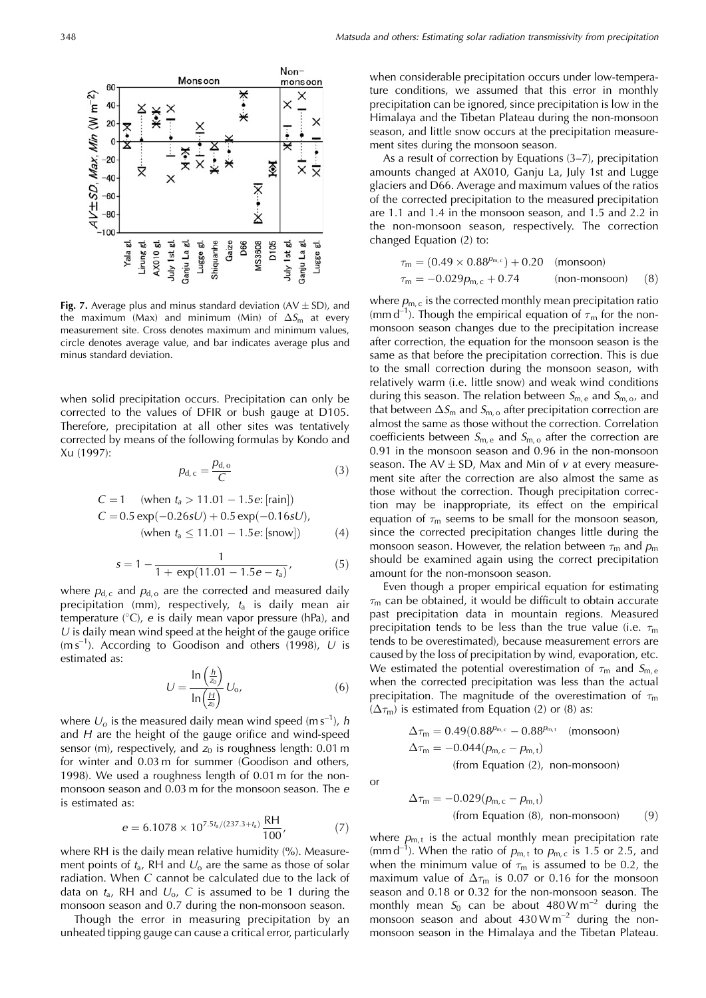

**Fig.** 7. Average plus and minus standard deviation  $(AV \pm SD)$ , and the maximum (Max) and minimum (Min) of  $\Delta S_{\text{m}}$  at every measurement site. Cross denotes maximum and minimum values, circle denotes average value, and bar indicates average plus and minus standard deviation.

when solid precipitation occurs. Precipitation can only be corrected to the values of DFIR or bush gauge at D105. Therefore, precipitation at all other sites was tentatively corrected by means of the following formulas by Kondo and Xu (1997):

$$
p_{d,c} = \frac{p_{d,o}}{C}
$$
 (3)

$$
C = 1 \quad \text{(when } t_a > 11.01 - 1.5e: \text{[rain]})
$$
\n
$$
C = 0.5 \exp(-0.26sU) + 0.5 \exp(-0.16sU),
$$
\n(when  $t_a \leq 11.01 - 1.5e: \text{[snow]})$ 

\n(4)

$$
s = 1 - \frac{1}{1 + \exp(11.01 - 1.5e - t_a)},
$$
\n(5)

where  $p_{d,c}$  and  $p_{d,o}$  are the corrected and measured daily precipitation (mm), respectively,  $t_a$  is daily mean air temperature ( $\degree$ C), e is daily mean vapor pressure (hPa), and  $U$  is daily mean wind speed at the height of the gauge orifice  $(m s<sup>-1</sup>)$ . According to Goodison and others (1998), U is estimated as:

$$
U = \frac{\ln\left(\frac{h}{z_0}\right)}{\ln\left(\frac{H}{z_0}\right)} U_0,\tag{6}
$$

where  $U_0$  is the measured daily mean wind speed (m s<sup>-1</sup>), h and  $H$  are the height of the gauge orifice and wind-speed sensor (m), respectively, and  $z_0$  is roughness length: 0.01 m for winter and 0.03 m for summer (Goodison and others, 1998). We used a roughness length of 0.01 m for the nonmonsoon season and 0.03 m for the monsoon season. The e is estimated as:

$$
e = 6.1078 \times 10^{7.5 \cdot t_a/(237.3 + t_a)} \frac{\text{RH}}{100},\tag{7}
$$

where RH is the daily mean relative humidity (%). Measurement points of  $t_a$ , RH and  $U_0$  are the same as those of solar radiation. When C cannot be calculated due to the lack of data on  $t_a$ , RH and  $U_0$ , C is assumed to be 1 during the monsoon season and 0.7 during the non-monsoon season.

Though the error in measuring precipitation by an unheated tipping gauge can cause a critical error, particularly when considerable precipitation occurs under low-temperature conditions, we assumed that this error in monthly precipitation can be ignored, since precipitation is low in the Himalaya and the Tibetan Plateau during the non-monsoon season, and little snow occurs at the precipitation measurement sites during the monsoon season.

As a result of correction by Equations (3–7), precipitation amounts changed at AX010, Ganju La, July 1st and Lugge glaciers and D66. Average and maximum values of the ratios of the corrected precipitation to the measured precipitation are 1.1 and 1.4 in the monsoon season, and 1.5 and 2.2 in the non-monsoon season, respectively. The correction changed Equation (2) to:

$$
\tau_{\rm m} = (0.49 \times 0.88^{p_{\rm m,c}}) + 0.20 \quad \text{(monsoon)}\n\tau_{\rm m} = -0.029 p_{\rm m,c} + 0.74 \quad \text{(non-monsoon)} \quad (8)
$$

where  $p_{m,c}$  is the corrected monthly mean precipitation ratio (mm d<sup>-1</sup>). Though the empirical equation of  $\tau_{\rm m}$  for the nonmonsoon season changes due to the precipitation increase after correction, the equation for the monsoon season is the same as that before the precipitation correction. This is due to the small correction during the monsoon season, with relatively warm (i.e. little snow) and weak wind conditions during this season. The relation between  $S_{m,e}$  and  $S_{m,o}$ , and that between  $\Delta S_{\text{m}}$  and  $S_{\text{m,o}}$  after precipitation correction are almost the same as those without the correction. Correlation coefficients between  $S_{m,e}$  and  $S_{m,o}$  after the correction are 0.91 in the monsoon season and 0.96 in the non-monsoon season. The  $AV \pm SD$ , Max and Min of v at every measurement site after the correction are also almost the same as those without the correction. Though precipitation correction may be inappropriate, its effect on the empirical equation of  $\tau_m$  seems to be small for the monsoon season, since the corrected precipitation changes little during the monsoon season. However, the relation between  $\tau_{\rm m}$  and  $p_{\rm m}$ should be examined again using the correct precipitation amount for the non-monsoon season.

Even though a proper empirical equation for estimating  $\tau_{\rm m}$  can be obtained, it would be difficult to obtain accurate past precipitation data in mountain regions. Measured precipitation tends to be less than the true value (i.e.  $\tau_{\rm m}$ tends to be overestimated), because measurement errors are caused by the loss of precipitation by wind, evaporation, etc. We estimated the potential overestimation of  $\tau_m$  and  $S_{m,e}$ when the corrected precipitation was less than the actual precipitation. The magnitude of the overestimation of  $\tau_{\rm m}$  $(\Delta \tau_m)$  is estimated from Equation (2) or (8) as:

$$
\Delta \tau_m = 0.49(0.88^{p_{m,c}} - 0.88^{p_{m,t}} \quad \text{(monsoon)}
$$
  

$$
\Delta \tau_m = -0.044(p_{m,c} - p_{m,t})
$$
  
(from Equation (2), non-monsoon)

or

$$
\Delta \tau_m = -0.029(p_{m,c} - p_{m,t})
$$
  
(from Equation (8), non-monsoon) (9)

where  $p_{m}$  is the actual monthly mean precipitation rate (mm d<sup>-1</sup>). When the ratio of  $p_{m,t}$  to  $p_{m,c}$  is 1.5 or 2.5, and when the minimum value of  $\tau_m$  is assumed to be 0.2, the maximum value of  $\Delta \tau_m$  is 0.07 or 0.16 for the monsoon season and 0.18 or 0.32 for the non-monsoon season. The monthly mean  $S_0$  can be about 480 W m<sup>-2</sup> during the monsoon season and about  $430 \text{W m}^{-2}$  during the nonmonsoon season in the Himalaya and the Tibetan Plateau.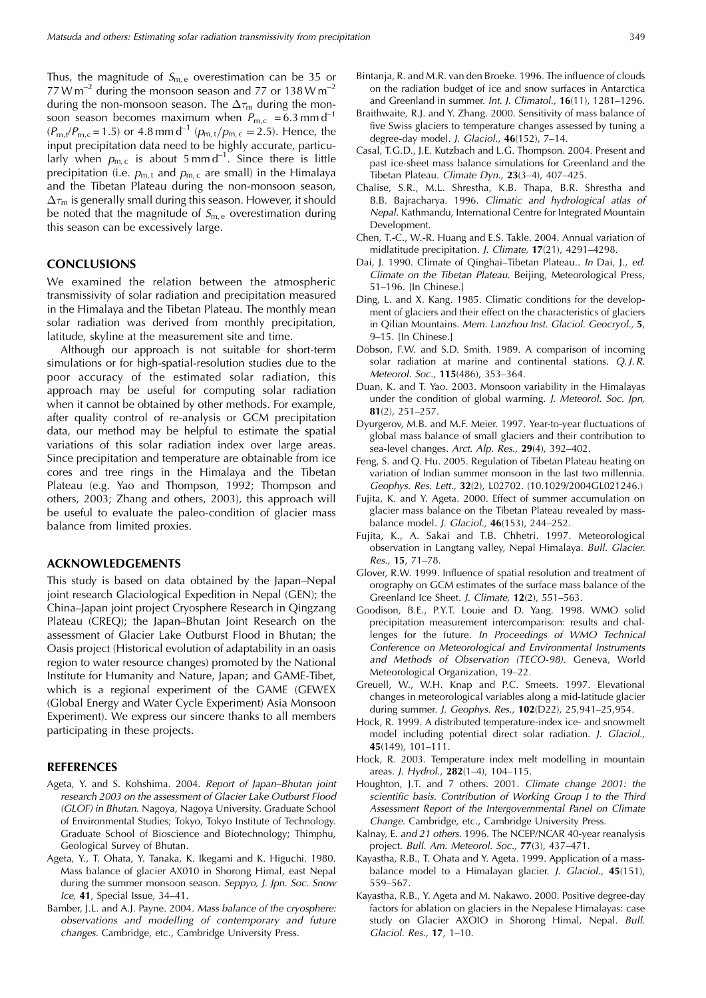Thus, the magnitude of  $S_{m,e}$  overestimation can be 35 or 77 W m<sup>-2</sup> during the monsoon season and 77 or 138 W m<sup>-2</sup> during the non-monsoon season. The  $\Delta \tau_{\rm m}$  during the monsoon season becomes maximum when  $P_{m,c} = 6.3$  mm d<sup>-1</sup>  $(P_{m,t}/P_{m,c} = 1.5)$  or 4.8 mm d<sup>-1</sup>  $(p_{m,t}/p_{m,c} = 2.5)$ . Hence, the input precipitation data need to be highly accurate, particularly when  $p_{m,c}$  is about 5 mm d<sup>-1</sup>. Since there is little precipitation (i.e.  $p_{m,t}$  and  $p_{m,c}$  are small) in the Himalaya and the Tibetan Plateau during the non-monsoon season,  $\Delta\tau_m$  is generally small during this season. However, it should be noted that the magnitude of  $S_{m,e}$  overestimation during this season can be excessively large.

# **CONCLUSIONS**

We examined the relation between the atmospheric transmissivity of solar radiation and precipitation measured in the Himalaya and the Tibetan Plateau. The monthly mean solar radiation was derived from monthly precipitation, latitude, skyline at the measurement site and time.

Although our approach is not suitable for short-term simulations or for high-spatial-resolution studies due to the poor accuracy of the estimated solar radiation, this approach may be useful for computing solar radiation when it cannot be obtained by other methods. For example, after quality control of re-analysis or GCM precipitation data, our method may be helpful to estimate the spatial variations of this solar radiation index over large areas. Since precipitation and temperature are obtainable from ice cores and tree rings in the Himalaya and the Tibetan Plateau (e.g. Yao and Thompson, 1992; Thompson and others, 2003; Zhang and others, 2003), this approach will be useful to evaluate the paleo-condition of glacier mass balance from limited proxies.

#### **ACKNOWLEDGEMENTS**

This study is based on data obtained by the Japan–Nepal joint research Glaciological Expedition in Nepal (GEN); the China–Japan joint project Cryosphere Research in Qingzang Plateau (CREQ); the Japan–Bhutan Joint Research on the assessment of Glacier Lake Outburst Flood in Bhutan; the Oasis project (Historical evolution of adaptability in an oasis region to water resource changes) promoted by the National Institute for Humanity and Nature, Japan; and GAME-Tibet, which is a regional experiment of the GAME (GEWEX (Global Energy and Water Cycle Experiment) Asia Monsoon Experiment). We express our sincere thanks to all members participating in these projects.

#### **REFERENCES**

- Ageta, Y. and S. Kohshima. 2004. Report of Japan–Bhutan joint research 2003 on the assessment of Glacier Lake Outburst Flood (GLOF) in Bhutan. Nagoya, Nagoya University. Graduate School of Environmental Studies; Tokyo, Tokyo Institute of Technology. Graduate School of Bioscience and Biotechnology; Thimphu, Geological Survey of Bhutan.
- Ageta, Y., T. Ohata, Y. Tanaka, K. Ikegami and K. Higuchi. 1980. Mass balance of glacier AX010 in Shorong Himal, east Nepal during the summer monsoon season. Seppyo, J. Jpn. Soc. Snow Ice, **41**, Special Issue, 34–41.
- Bamber, J.L. and A.J. Payne. 2004. Mass balance of the cryosphere: observations and modelling of contemporary and future changes. Cambridge, etc., Cambridge University Press.
- Bintanja, R. and M.R. van den Broeke. 1996. The influence of clouds on the radiation budget of ice and snow surfaces in Antarctica and Greenland in summer. Int. J. Climatol., **16**(11), 1281–1296.
- Braithwaite, R.J. and Y. Zhang. 2000. Sensitivity of mass balance of five Swiss glaciers to temperature changes assessed by tuning a degree-day model. J. Glaciol., **46**(152), 7–14.
- Casal, T.G.D., J.E. Kutzbach and L.G. Thompson. 2004. Present and past ice-sheet mass balance simulations for Greenland and the Tibetan Plateau. Climate Dyn., **23**(3–4), 407–425.
- Chalise, S.R., M.L. Shrestha, K.B. Thapa, B.R. Shrestha and B.B. Bajracharya. 1996. Climatic and hydrological atlas of Nepal. Kathmandu, International Centre for Integrated Mountain Development.
- Chen, T.-C., W.-R. Huang and E.S. Takle. 2004. Annual variation of midlatitude precipitation. J. Climate, **17**(21), 4291–4298.
- Dai, J. 1990. Climate of Qinghai–Tibetan Plateau.. In Dai, J., ed. Climate on the Tibetan Plateau. Beijing, Meteorological Press, 51–196. [In Chinese.]
- Ding, L. and X. Kang. 1985. Climatic conditions for the development of glaciers and their effect on the characteristics of glaciers in Qilian Mountains. Mem. Lanzhou Inst. Glaciol. Geocryol., **5**, 9–15. [In Chinese.]
- Dobson, F.W. and S.D. Smith. 1989. A comparison of incoming solar radiation at marine and continental stations. Q.J.R. Meteorol. Soc., **115**(486), 353–364.
- Duan, K. and T. Yao. 2003. Monsoon variability in the Himalayas under the condition of global warming. J. Meteorol. Soc. Jpn, **81**(2), 251–257.
- Dyurgerov, M.B. and M.F. Meier. 1997. Year-to-year fluctuations of global mass balance of small glaciers and their contribution to sea-level changes. Arct. Alp. Res., **29**(4), 392–402.
- Feng, S. and Q. Hu. 2005. Regulation of Tibetan Plateau heating on variation of Indian summer monsoon in the last two millennia. Geophys. Res. Lett., **32**(2), L02702. (10.1029/2004GL021246.)
- Fujita, K. and Y. Ageta. 2000. Effect of summer accumulation on glacier mass balance on the Tibetan Plateau revealed by massbalance model. J. Glaciol., **46**(153), 244–252.
- Fujita, K., A. Sakai and T.B. Chhetri. 1997. Meteorological observation in Langtang valley, Nepal Himalaya. Bull. Glacier. Res., **15**, 71–78.
- Glover, R.W. 1999. Influence of spatial resolution and treatment of orography on GCM estimates of the surface mass balance of the Greenland Ice Sheet. J. Climate, **12**(2), 551–563.
- Goodison, B.E., P.Y.T. Louie and D. Yang. 1998. WMO solid precipitation measurement intercomparison: results and challenges for the future. In Proceedings of WMO Technical Conference on Meteorological and Environmental Instruments and Methods of Observation (TECO-98). Geneva, World Meteorological Organization, 19–22.
- Greuell, W., W.H. Knap and P.C. Smeets. 1997. Elevational changes in meteorological variables along a mid-latitude glacier during summer. J. Geophys. Res., **102**(D22), 25,941–25,954.
- Hock, R. 1999. A distributed temperature-index ice- and snowmelt model including potential direct solar radiation. J. Glaciol., **45**(149), 101–111.
- Hock, R. 2003. Temperature index melt modelling in mountain areas. J. Hydrol., **282**(1–4), 104–115.
- Houghton, J.T. and 7 others. 2001. Climate change 2001: the scientific basis. Contribution of Working Group I to the Third Assessment Report of the Intergovernmental Panel on Climate Change. Cambridge, etc., Cambridge University Press.
- Kalnay, E. and 21 others. 1996. The NCEP/NCAR 40-year reanalysis project. Bull. Am. Meteorol. Soc., **77**(3), 437–471.
- Kayastha, R.B., T. Ohata and Y. Ageta. 1999. Application of a massbalance model to a Himalayan glacier. J. Glaciol., **45**(151), 559–567.
- Kayastha, R.B., Y. Ageta and M. Nakawo. 2000. Positive degree-day factors for ablation on glaciers in the Nepalese Himalayas: case study on Glacier AXOIO in Shorong Himal, Nepal. Bull. Glaciol. Res., **17**, 1–10.